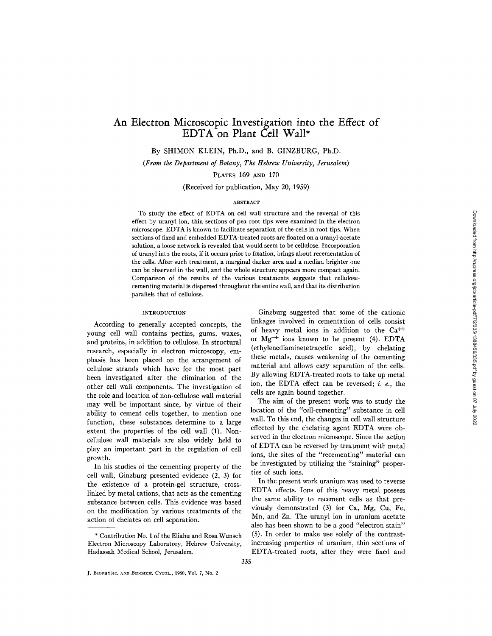# **An Electron Microscopic Investigation into the Effect of EDTA on Plant Cell Wall\***

By SHIMON KLEIN, Ph.D., and B. GINZBURG, Ph.D.

*(From the Department of Botany, The Hebrew University, Jerusalem)* 

PLATES 169 AND 170

(Received for publication, May 20, 1959)

### ABSTRACT

To study the effect of EDTA on cell wall structure and the reversal of this effect by uranyl ion, thin sections of pea root tips were examined in the electron microscope. EDTA is known to facilitate separation of the cells in root tips. When sections of fixed and embedded EDTA-treated roots are floated on a uranyl-acetate solution, a loose network is revealed that would seem to be cellulose. Incorporation of uranyl into the roots, if it occurs prior to fixation, brings about recementation of the cells. After such treatment, a marginal darker area and a median brighter one can be observed in the wall, and the whole structure appears more compact again. Comparison of the results of the various treatments suggests that cellulosecementing material is dispersed throughout the entire wall, and that its distribution parallels that of cellulose.

# INTRODUCTION

According to generally accepted concepts, the young cell wall contains pectins, gums, waxes, and proteins, in addition to cellulose. In structural research, especially in electron microscopy, emphasis has been placed on the arrangement of cellulose strands which have for the most part been investigated after the elimination of the other cell wall components. The investigation of the role and location of non-cellulose wall material may well be important since, by virtue of their ability to cement cells together, to mention one function, these substances determine to a large extent the properties of the cell wall (1). Noncellulose wall materials are also widely held to play an important part in the regulation of cell growth.

In his studies of the cementing property of the cell wall, Ginzburg presented evidence (2, 3) for the existence of a protein-gel structure, crosslinked by metal cations, that acts as the cementing substance between cells. This evidence was based on the modification by various treatments of the action of chelates on cell separation.

Ginzburg suggested that some of the cationic linkages involved in cementation of cells consist of heavy metal ions in addition to the  $Ca^{++}$ or  $Mg^{++}$  ions known to be present (4). EDTA (ethylenediaminetetracetic acid), by chelating these metals, causes weakening of the cementing material and allows easy separation of the cells. By allowing EDTA-treated roots to take up metal ion, the EDTA effect can be reversed; *i. e.,* the cells are again bound together.

The aim of the present work was to study the location of the "cell-cementing" substance in cell wall. To this end, the changes in cell wall structure effected by the chelating agent EDTA were observed in the electron microscope. Since the action of EDTA can be reversed by treatment with metal ions, the sites of the *"recementing"* material can be investigated by utilizing the "staining" properties of such ions.

In the present work uranium was used to reverse EDTA effects. Ions of this heavy metal possess the same ability to recement cells as that previously demonstrated (3) for Ca, Mg, Cu, Fe, Mn, and Zn. The uranyl ion in uranium acetate also has been shown to be a good "electron stain" (5). In order to make use solely of the contrastincreasing properties of uranium, thin sections of EDTA-treated roots, after they were fixed and

<sup>\*</sup> Contribution No. 1 of the Eliahu and Rosa Wunsch Electron Microscopy Laboratory, Hebrew University, Hadassah Medical Schoo], Jerusalem.

J. BIOPHYSIC. AND BIOCHEM. CYTOL., 1960, Vol. 7, No. 2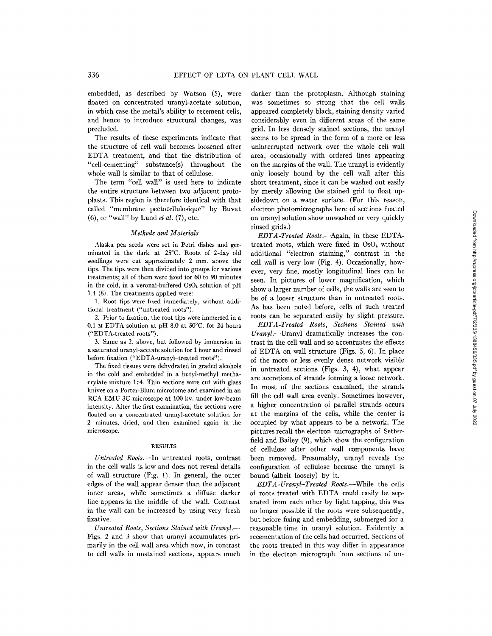embedded, as described by Watson (5), were floated on concentrated uranyl-acetate solution, in which case the metal's ability to recement cells, and hence to introduce structural changes, was precluded.

The results of these experiments indicate that the structure of cell wall becomes loosened after EDTA treatment, and that the distribution of "cell-cementing" substance(s) throughout the whole wall is similar to that of cellulose.

The term "cell wall" is used here to indicate the entire structure between two adjacent protoplasts. This region is therefore identical with that called "membrane pectocellulosique" by Buvat (6), or "wall" by Lund *et al.* (7), etc.

## *Methods and Materials*

Alaska pea seeds were set in Petri dishes and germinated in the dark at 25°C. Roots of 2-day old seedlings were cut approximately 2 mm. above the tips. The tips were then divided into groups for various treatments; all of them were fixed for 60 to 90 minutes in the cold, in a veronal-buffered  $OsO<sub>4</sub>$  solution of pH 7.4 (8). The treatments applied were:

1. Root tips were fixed immediately, without additional treatment ("untreated roots").

2. Prior to fixation, the root tips were immersed in a  $0.1 ~ \text{m}$  EDTA solution at pH 8.0 at 30°C. for 24 hours ("EDTA-treated roots").

3. Same as 2. above, but followed by immersion in a saturated uranyl-acetate solution for 1 hour and rinsed before fixation ("EDTA-uranyl-treated roots").

The fixed tissues were dehydrated in graded alcohols in the cold and embedded in a butyl-methyl methacrylate mixture 1:4. Thin sections were cut with glass knives on a Porter-Blum microtome and examined in an RCA EMU 3C microscope at 100 kv. under low-beam intensity. After the first examination, the sections were floated on a concentrated uranyl-acetate solution for 2 minutes, dried, and then examined again in the microscope.

# RESULTS

*Untreated Roots.--In* untreated roots, contrast in the cell walls is low and does not reveal details of wall structure (Fig. 1). In general, the outer edges of the wall appear denser than the adjacent inner areas, while sometimes a diffuse darker line appears in the middle of the wall. Contrast in the wall can be increased by using very fresh fixative.

*Untreated Roots, Sections Stained with Uranyl.--*  Figs. 2 and 3 show that uranyl accumulates primarily in the cell wall area which now, in contrast to cell walls in unstained sections, appears much

darker than the protoplasm. Although staining was sometimes so strong that the cell walls appeared completely black, staining density varied considerably even in different areas of the same grid. In less densely stained sections, the uranyl seems to be spread in the form of a more or less uninterrupted network over the whole cell wall area, occasionally with ordered lines appearing on the margins of the wall. The uranyl is evidently only loosely bound by the cell wall after this short treatment, since it can be washed out easily by merely allowing the stained grid to float upsidedown on a water surface. (For this reason, electron photomicrographs here of sections floated on uranyl solution show unwashed or very quickly rinsed grids.)

*EDTA-Treated Roots.--Again,* in these EDTAtreated roots, which were fixed in OsO4 without additional "electron staining," contrast in the cell wall is very low (Fig. 4). Occasionally, however, very fine, mostly longitudinal lines can be seen. In pictures of lower magnification, which show a larger number of cells, the wails are seen to be of a looser structure than in untreated roots. As has been noted before, cells of such treated roots can be separated easily by slight pressure.

*EDTA-Treated Roots, Sections Stained with Uranyl.--Uranyl* dramatically increases the contrast in the cell wall and so accentuates the effects of EDTA on wall structure (Figs. 5, 6). In place of the more or less evenly dense network visible in untreated sections (Figs. 3, 4), what appear are accretions of strands forming a loose network. In most of the sections examined, the strands fill the cell wall area evenly. Sometimes however, a higher concentration of parallel strands occurs at the margins of the cells, while the center is occupied by what appears to be a network. The pictures recall the electron micrographs of Setterfield and Bailey (9), which show the configuration of cellulose after other wall components have been removed. Presumably, uranyl reveals the configuration of cellulose because the uranyl is bound (albeit loosely) by it.

*EDTA-Uranyl-Treated Roots.--While* the cells of roots treated with EDTA could easily be separated from each other by light tapping, this was no longer possible if the roots were subsequently, but before fixing and embedding, submerged for a reasonable time in uranyl solution. Evidently a recementation of the cells had occurred. Sections of the roots treated in this way differ in appearance in the electron micrograph from sections of un-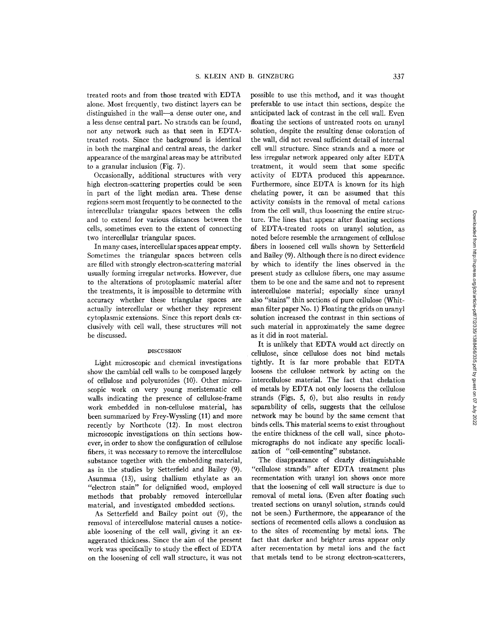treated roots and from those treated with EDTA alone. Most frequently, two distinct layers can be distinguished in the wall-a dense outer one, and a less dense central part. No strands can be found, nor any network such as that seen in EDTAtreated roots. Since the background is identical in both the marginal and central areas, the darker appearance of the marginal areas may be attributed to a granular inclusion (Fig. 7).

Occasionally, additional structures with very high electron-scattering properties could be seen in part of the light median area. These dense regions seem most frequently to be connected to the intercellular triangular spaces between the cells and to extend for various distances between the cells, sometimes even to the extent of connecting two intercellular triangular spaces.

In many cases, intercellular spaces appear empty. Sometimes the triangular spaces between cells are filled with strongly electron-scattering material usually forming irregular networks. However, due to the alterations of protoplasmic material after the treatments, it is impossible to determine with accuracy whether these triangular spaces are actually intercellular or whether they represent cytoplasmic extensions. Since this report deals exclusively with cell wall, these structures will not be discussed.

# DISCUSSION

Light microscopic and chemical investigations show the cambial cell walls to be composed largely of cellulose and polyuronides (10). Other microscopic work on very young meristematic cell walls indicating the presence of cellulose-frame work embedded in non-cellulose material, has been summarized by Frey-Wyssling (11) and more recently by Northcote (12). In most electron microscopic investigations on thin sections however, in order to show the configuration of cellulose fibers, it was necessary to remove the intercellulose substance together with the embedding material, as in the studies by Setterfield and Bailey (9). Asunmaa (13), using thallium ethylate as an "electron stain" for delignified wood, employed methods that probably removed intercellular material, and investigated embedded sections.

As Setterfield and Bailey point out (9), the removal of intercellulose material causes a noticeable loosening of the cell wall, giving it an exaggerated thickness. Since the aim of the present work was specifically to study the effect of EDTA on the loosening of cell wall structure, it was not

possible to use this method, and it was thought preferable to use intact thin sections, despite the anticipated lack of contrast in the cell wall. Even floating the sections of untreated roots on uranyl solution, despite the resulting dense coloration of the wall, did not reveal sufficient detail of internal cell wall structure. Since strands and a more or less irregular network appeared only after EDTA treatment, it would seem that some specific activity of EDTA produced this appearance. Furthermore, since EDTA is known for its high chelating power, it can be assumed that this activity consists in the removal of metal cations from the cell wall, thus loosening the entire structure. The lines that appear after floating sections of EDTA-treated roots on uranyl solution, as noted before resemble the arrangement of cellulose fibers in loosened cell walls shown by Setterfield and Bailey (9). Although there is no direct evidence by which to identify the lines observed in the present study as cellulose fibers, one may assume them to be one and the same and not to represent intercellnlose material; especially since uranyl also "stains" thin sections of pure cellulose (Whitman filter paper No. 1) Floating the grids on uranyl solution increased the contrast in thin sections of such material in approximately the same degree as it did in root material.

It is unlikely that EDTA would act directly on cellulose, since cellulose does not bind metals tightly. It is far more probable that EDTA loosens the cellulose network by acting on the intercellulose material. The fact that chelation of metals by EDTA not only loosens the cellulose strands (Figs. 5, 6), but also results in ready separability of cells, suggests that the cellulose network may be bound by the same cement that binds cells. This material seems to exist throughout the entire thickness of the cell wall, since photomicrographs do not indicate any specific localization of "cell-cementing" substance.

The disappearance of clearly distinguishable "cellulose strands" after EDTA treatment plus recementation with uranyl ion shows once more that the loosening of cell wall structure is due to removal of metal ions. (Even after floating such treated sections on uranyl solution, strands could not be seen.) Furthermore, the appearance of the sections of recemented cells allows a conclusion as to the sites of recementing by metal ions. The fact that darker and brighter areas appear only after recementation by metal ions and the fact that metals tend to be strong electron-scatterers,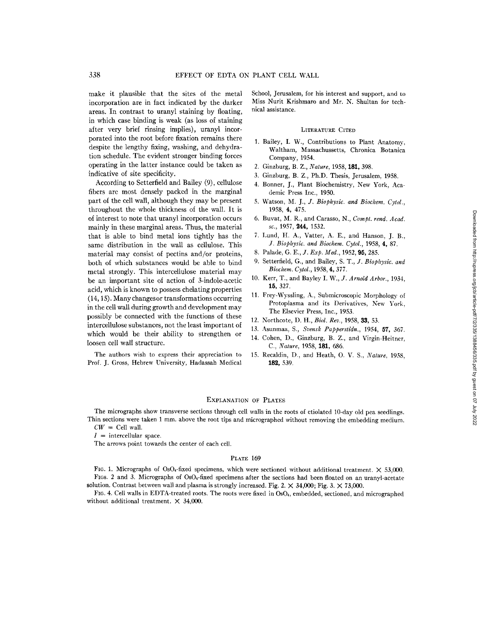make it plausible that the sites of the metal incorporation are in fact indicated by the darker areas. In contrast to uranyl staining by floating, in which case binding is weak (as loss of staining after very brief rinsing implies), uranyl incorporated into the root before fixation remains there despite the lengthy fixing, washing, and dehydration schedule. The evident stronger binding forces operating in the latter instance could be taken as indicative of site specificity.

According to Setterfield and Bailey (9), cellulose fibers are most densely packed in the marginal part of the cell wall, although they may be present throughout the whole thickness of the wall. It is of interest to note that uranyl incorporation occurs mainly in these marginal areas. Thus, the material that is able to bind metal ions tightly has the same distribution in the wall as cellulose. This material may consist of pectins and/or proteins, both of which substances would be able to bind metal strongly. This intercellulose material may be an important site of action of 3-indole-acetic acid, which is known to possess chelating properties (14, 15). Many changesor transformations occurring in the cell wall during growth and development may possibly be connected with the functions of these intercellulose substances, not the least important of which would be their ability to strengthen or loosen cell wall structure.

The authors wish to express their appreciation to Prof. J. Gross, Hebrew University, Hadassah Medical School, Jerusalem, for his interest and support, and to Miss Nurit Krishmaro and Mr. N. Shultan for technical assistance.

#### LITERATURE CITED

- 1. Bailey, I. W., Contributions to Plant Anatomy, Waltham, Massachussetts, Chronica Botanica Company, 1954.
- 2. Ginzburg, B. Z., *Nature,* 1958, 181, 398.
- 3. Ginzburg, B. Z., Ph.D. Thesis, Jerusalem, 1958.
- 4. Bonner, J., Plant Biochemistry, New York, Academic Press Inc., 1950.
- 5. Watson, M. J., *J. Biophysic. and Biochem. Cytol.*, 1958, 4, 475.
- 6. Buvat, M. R., and Carasso, N., *Compt. rend. Acad. sc.,* 1957, 244, 1532.
- 7. Lund, H. A., Vatter, A. E., and Hanson, J. B., *J. Biophysic. and Biochem. Cytol.,* 1958, 4, 87.
- 8. Palade, *G. E., J. Exp. Med.,* 1952, 05, 285.
- 9. Setterfield, G., and Bailey, *S. T., J. Biophysic. and Bioehem. Cytol.,* 1958, 4, 377.
- 10. Kerr, T., and Bayley *I. W., J. Arnold Arbor.,* 1934, 15, 327.
- 11. Frey-Wyssling, A., Submicroscopic Morphology of Protoplasma and its Derivatives, New York, The Elsevier Press, Inc., 1953.
- 12. Northcote, D. H., *Biol. Rev.,* 1958, 33, 53.
- 13. Asunmaa, S., *Svensk Papperstldn.,* 1954, 57, 367.
- 14. Cohen, D., Ginzburg, B. Z., and Virgin-Heitner, *C., Nature,* 1958, 181, 686.
- 15. Recaldin, D., and Heath, O. V. S., *Nature,* 1958, 189., 539.

## EXPLANATION OF PLATES

The micrographs show transverse sections through cell walls in the roots of etiolated 10-day old pea seedlings. Thin sections were taken 1 mm. above the root tips and micrographed without removing the embedding medium.  $CW =$  Cell wall.

 $I =$  intercellular space.

The arrows point towards the center of each cell.

#### PLATE 169

FIG. 1. Micrographs of OsO4-fixed specimens, which were sectioned without additional treatment.  $\times$  53,000. FIGS. 2 and 3. Micrographs of OsO4-fixed specimens after the sections had been floated on an uranyl-acetate solution. Contrast between wall and plasma is strongly increased. Fig. 2.  $\times$  34,000; Fig. 3.  $\times$  73,000.

Fic. 4. Cell walls in EDTA-treated roots. The roots were fixed in OsO4, embedded, sectioned, and micrographed without additional treatment.  $\times$  34,000.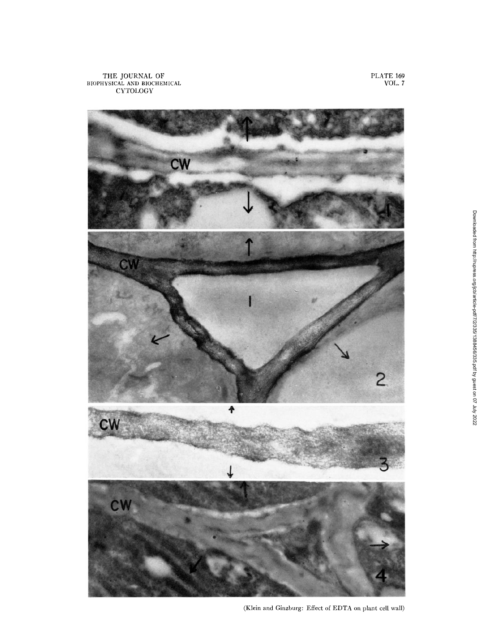PLATE **169**  VOL. 7

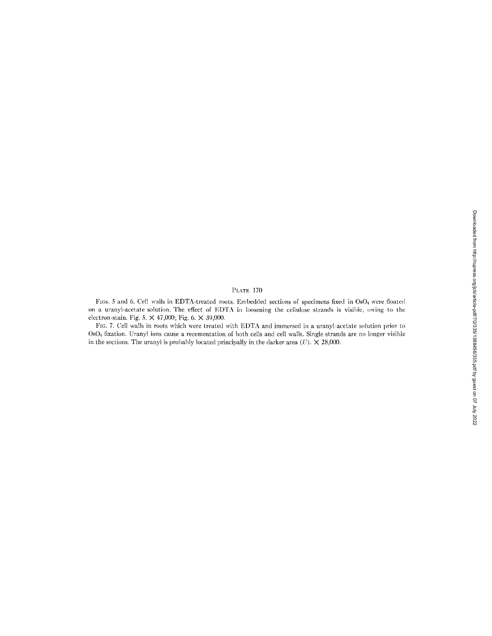# PI,ATE 170

FIGs. 5 and 6. Cell walls in EDTA-treated roots. Embedded sections of specimens fixed in OsO4 were floated on a uranyl-acetate solution. The effect of EDTA in loosening the cellulose strands is visible, owing to the electron-stain. Fig. 5.  $\times$  47,000; Fig. 6.  $\times$  39,000.

FIG. 7. Cell walls in roots which were treated with EDTA and immersed in a uranyl-acetate solution prior to OsO<sub>4</sub> fixation. Uranyl ions cause a recementation of both cells and cell walls. Single strands are no longer visible in the sections. The uranyl is probably located principally in the darker area  $(U)$ .  $\times$  28,000.